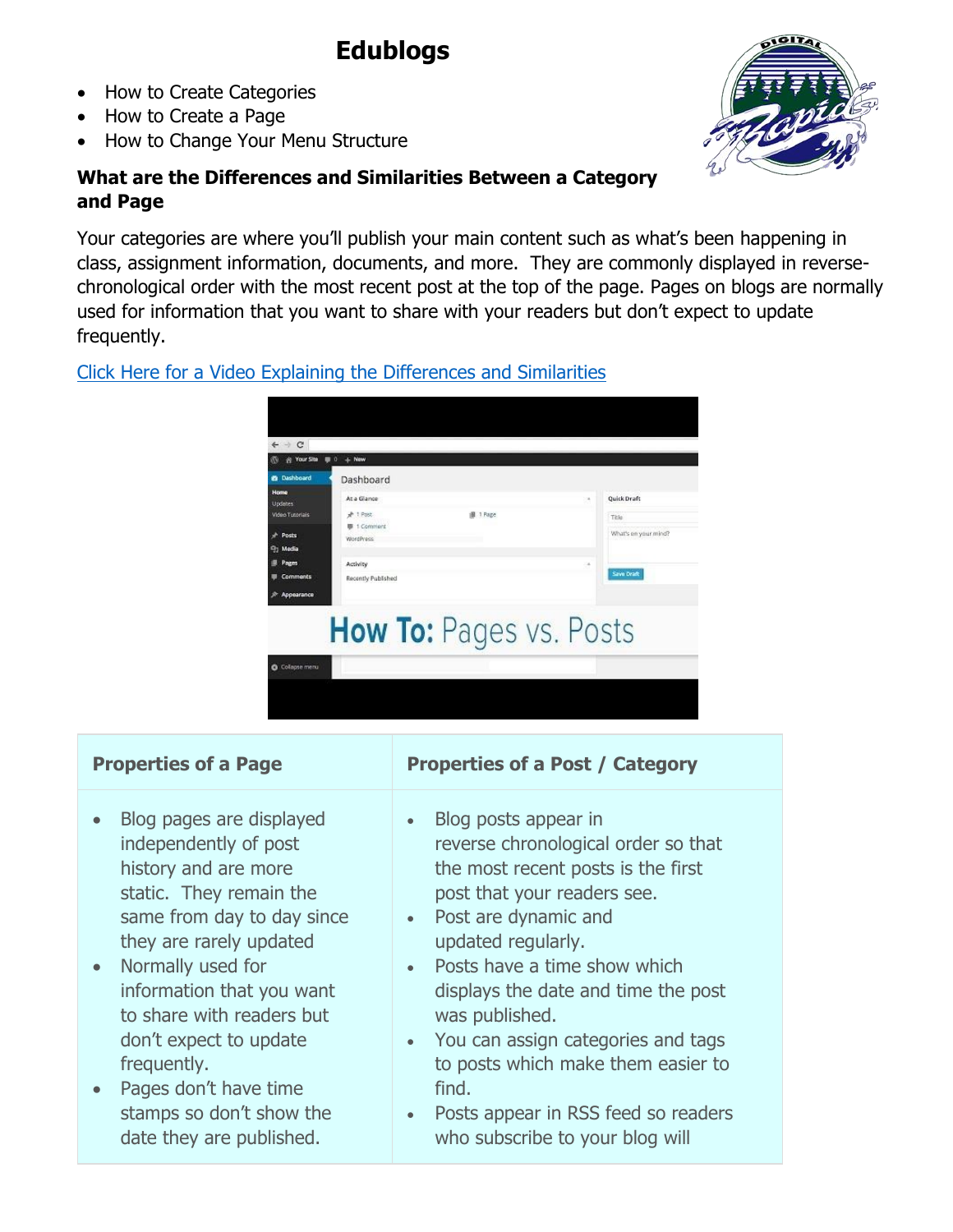# **Edublogs**

- How to Create Categories
- How to Create a Page
- How to Change Your Menu Structure

# **What are the Differences and Similarities Between a Category and Page**

Your categories are where you'll publish your main content such as what's been happening in class, assignment information, documents, and more. They are commonly displayed in reversechronological order with the most recent post at the top of the page. Pages on blogs are normally used for information that you want to share with your readers but don't expect to update frequently.

# [Click Here for a Video Explaining the Differences and Similarities](https://youtu.be/SCHBfd43E6o)



- Blog pages are displayed independently of post history and are more static. They remain the same from day to day since they are rarely updated
- Normally used for information that you want to share with readers but don't expect to update frequently.
- Pages don't have time stamps so don't show the date they are published.

# **Properties of a Page Properties of a Post / Category**

- Blog posts appear in reverse chronological order so that the most recent posts is the first post that your readers see.
- Post are dynamic and updated regularly.
- Posts have a time show which displays the date and time the post was published.
- You can assign categories and tags to posts which make them easier to find.
- Posts appear in RSS feed so readers who subscribe to your blog will

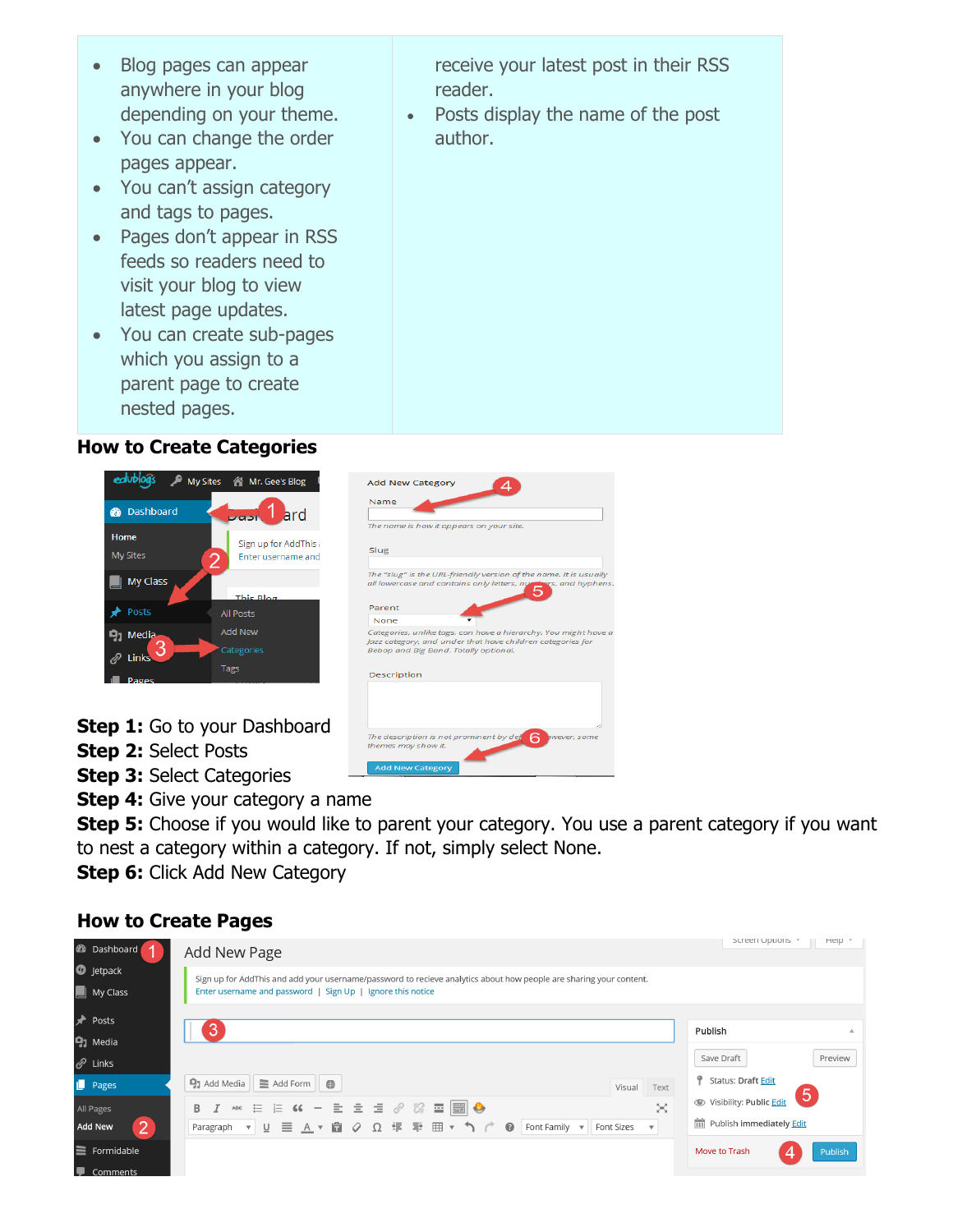- Blog pages can appear anywhere in your blog depending on your theme.
- You can change the order pages appear.
- You can't assign category and tags to pages.
- Pages don't appear in RSS feeds so readers need to visit your blog to view latest page updates.
- You can create sub-pages which you assign to a parent page to create nested pages.

### **How to Create Categories**



- **Step 1:** Go to your Dashboard
- **Step 2:** Select Posts
- **Step 3: Select Categories**
- **Step 4:** Give your category a name
- **Step 5:** Choose if you would like to parent your category. You use a parent category if you want to nest a category within a category. If not, simply select None.

Add New Category

**Step 6:** Click Add New Category

# **How to Create Pages**

| <b>2</b> Dashboard                                                   | Add New Page                                                                                                                                                                     | Screen Options<br>Help                                                                     |
|----------------------------------------------------------------------|----------------------------------------------------------------------------------------------------------------------------------------------------------------------------------|--------------------------------------------------------------------------------------------|
| <b>O</b> Jetpack<br>$\blacksquare$ My Class                          | Sign up for AddThis and add your username/password to recieve analytics about how people are sharing your content.<br>Enter username and password   Sign Up   Ignore this notice |                                                                                            |
| <b>A</b> Posts<br>$q_1$ Media<br>$\mathscr{O}$ Links<br>Pages        | 3<br>$\equiv$ Add Form $\parallel$ $\oplus$<br>$\mathbf{q}_1$ Add Media<br>Visual<br>Text                                                                                        | Publish<br>Preview<br>Save Draft<br>Status: Draft Edit                                     |
| All Pages<br> 2 <br><b>Add New</b><br>$\equiv$ Formidable<br>Commark | ※ … … … << - ± ± = ⊘ ※ 〓 ■ ●<br>×<br>B<br>υ 目 Α▼自 Ο Ω 年 野 囲▼ つ 广<br>$\bullet$<br>Font Family $\sqrt{}$<br>Font Sizes<br>Paragraph $\bullet$<br>$\overline{\mathbf{v}}$           | $\circ$<br>Visibility: Public Edit<br>Publish immediately Edit<br>Move to Trash<br>Publish |

receive your latest post in their RSS reader.

• Posts display the name of the post author.

|             | The name is how it appears on your site.                                                                                                                               |
|-------------|------------------------------------------------------------------------------------------------------------------------------------------------------------------------|
| Slug        |                                                                                                                                                                        |
|             | The "slug" is the URL-friendly version of the name. It is usually<br>all lowercase and contains only letters, numbers, and hyphens                                     |
| Parent      |                                                                                                                                                                        |
| None        |                                                                                                                                                                        |
|             | Categories, unlike tags, can have a hierarchy. You might have a<br>Jazz category, and under that have children categories for<br>Bebop and Big Band, Totally optional, |
| Description |                                                                                                                                                                        |
|             |                                                                                                                                                                        |
|             |                                                                                                                                                                        |
|             |                                                                                                                                                                        |